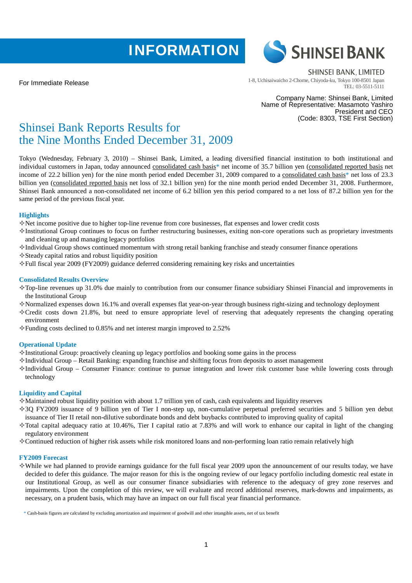# **INFORMATION**





**SHINSEI BANK, LIMITED** 1-8, Uchisaiwaicho 2-Chome, Chiyoda-ku, Tokyo 100-8501 Japan TEL: 03-5511-5111

Company Name: Shinsei Bank, Limited Name of Representative: Masamoto Yashiro President and CEO (Code: 8303, TSE First Section)

# Shinsei Bank Reports Results for the Nine Months Ended December 31, 2009

Tokyo (Wednesday, February 3, 2010) – Shinsei Bank, Limited, a leading diversified financial institution to both institutional and individual customers in Japan, today announced consolidated cash basis\* net income of 35.7 billion yen (consolidated reported basis net income of 22.2 billion yen) for the nine month period ended December 31, 2009 compared to a consolidated cash basis\* net loss of 23.3 billion yen (consolidated reported basis net loss of 32.1 billion yen) for the nine month period ended December 31, 2008. Furthermore, Shinsei Bank announced a non-consolidated net income of 6.2 billion yen this period compared to a net loss of 87.2 billion yen for the same period of the previous fiscal year.

# **Highlights**

- Net income positive due to higher top-line revenue from core businesses, flat expenses and lower credit costs
- $\Diamond$ Institutional Group continues to focus on further restructuring businesses, exiting non-core operations such as proprietary investments and cleaning up and managing legacy portfolios
- $\Diamond$ Individual Group shows continued momentum with strong retail banking franchise and steady consumer finance operations
- $\Diamond$  Steady capital ratios and robust liquidity position
- Full fiscal year 2009 (FY2009) guidance deferred considering remaining key risks and uncertainties

# **Consolidated Results Overview**

- $\Diamond$ Top-line revenues up 31.0% due mainly to contribution from our consumer finance subsidiary Shinsei Financial and improvements in the Institutional Group
- $\diamond$ Normalized expenses down 16.1% and overall expenses flat year-on-year through business right-sizing and technology deployment
- $\Diamond$  Credit costs down 21.8%, but need to ensure appropriate level of reserving that adequately represents the changing operating environment
- $\Diamond$  Funding costs declined to 0.85% and net interest margin improved to 2.52%

# **Operational Update**

- $\Diamond$ Institutional Group: proactively cleaning up legacy portfolios and booking some gains in the process
- Individual Group Retail Banking: expanding franchise and shifting focus from deposits to asset management
- $\Diamond$ Individual Group Consumer Finance: continue to pursue integration and lower risk customer base while lowering costs through technology

# **Liquidity and Capital**

- $\Diamond$  Maintained robust liquidity position with about 1.7 trillion yen of cash, cash equivalents and liquidity reserves
- 3Q FY2009 issuance of 9 billion yen of Tier I non-step up, non-cumulative perpetual preferred securities and 5 billion yen debut issuance of Tier II retail non-dilutive subordinate bonds and debt buybacks contributed to improving quality of capital
- $\Diamond$  Total capital adequacy ratio at 10.46%, Tier I capital ratio at 7.83% and will work to enhance our capital in light of the changing regulatory environment
- $\diamond$  Continued reduction of higher risk assets while risk monitored loans and non-performing loan ratio remain relatively high

# **FY2009 Forecast**

 $\diamond$ While we had planned to provide earnings guidance for the full fiscal year 2009 upon the announcement of our results today, we have decided to defer this guidance. The major reason for this is the ongoing review of our legacy portfolio including domestic real estate in our Institutional Group, as well as our consumer finance subsidiaries with reference to the adequacy of grey zone reserves and impairments. Upon the completion of this review, we will evaluate and record additional reserves, mark-downs and impairments, as necessary, on a prudent basis, which may have an impact on our full fiscal year financial performance.

\* Cash-basis figures are calculated by excluding amortization and impairment of goodwill and other intangible assets, net of tax benefit